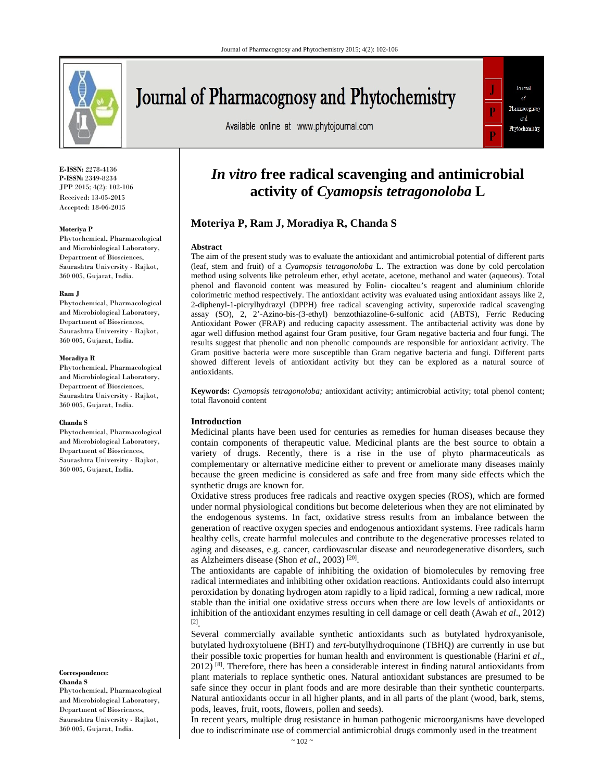

# Journal of Pharmacognosy and Phytochemistry

Available online at www.phytojournal.com



**E-ISSN:** 2278-4136 **P-ISSN:** 2349-8234 JPP 2015; 4(2): 102-106 Received: 13-05-2015 Accepted: 18-06-2015

#### **Moteriya P**

Phytochemical, Pharmacological and Microbiological Laboratory, Department of Biosciences, Saurashtra University - Rajkot, 360 005, Gujarat, India.

#### **Ram J**

Phytochemical, Pharmacological and Microbiological Laboratory, Department of Biosciences, Saurashtra University - Rajkot, 360 005, Gujarat, India.

#### **Moradiya R**

Phytochemical, Pharmacological and Microbiological Laboratory, Department of Biosciences, Saurashtra University - Rajkot, 360 005, Gujarat, India.

#### **Chanda S**

Phytochemical, Pharmacological and Microbiological Laboratory, Department of Biosciences, Saurashtra University - Rajkot, 360 005, Gujarat, India.

**Correspondence**: **Chanda S**

Phytochemical, Pharmacological and Microbiological Laboratory, Department of Biosciences, Saurashtra University - Rajkot, 360 005, Gujarat, India.

# *In vitro* **free radical scavenging and antimicrobial activity of** *Cyamopsis tetragonoloba* **L**

# **Moteriya P, Ram J, Moradiya R, Chanda S**

#### **Abstract**

The aim of the present study was to evaluate the antioxidant and antimicrobial potential of different parts (leaf, stem and fruit) of a *Cyamopsis tetragonoloba* L. The extraction was done by cold percolation method using solvents like petroleum ether, ethyl acetate, acetone, methanol and water (aqueous). Total phenol and flavonoid content was measured by Folin- ciocalteu's reagent and aluminium chloride colorimetric method respectively. The antioxidant activity was evaluated using antioxidant assays like 2, 2-diphenyl-1-picrylhydrazyl (DPPH) free radical scavenging activity, superoxide radical scavenging assay (SO), 2, 2'-Azino-bis-(3-ethyl) benzothiazoline-6-sulfonic acid (ABTS), Ferric Reducing Antioxidant Power (FRAP) and reducing capacity assessment. The antibacterial activity was done by agar well diffusion method against four Gram positive, four Gram negative bacteria and four fungi. The results suggest that phenolic and non phenolic compounds are responsible for antioxidant activity. The Gram positive bacteria were more susceptible than Gram negative bacteria and fungi. Different parts showed different levels of antioxidant activity but they can be explored as a natural source of antioxidants.

**Keywords:** *Cyamopsis tetragonoloba;* antioxidant activity; antimicrobial activity; total phenol content; total flavonoid content

#### **Introduction**

Medicinal plants have been used for centuries as remedies for human diseases because they contain components of therapeutic value. Medicinal plants are the best source to obtain a variety of drugs. Recently, there is a rise in the use of phyto pharmaceuticals as complementary or alternative medicine either to prevent or ameliorate many diseases mainly because the green medicine is considered as safe and free from many side effects which the synthetic drugs are known for.

Oxidative stress produces free radicals and reactive oxygen species (ROS), which are formed under normal physiological conditions but become deleterious when they are not eliminated by the endogenous systems. In fact, oxidative stress results from an imbalance between the generation of reactive oxygen species and endogenous antioxidant systems. Free radicals harm healthy cells, create harmful molecules and contribute to the degenerative processes related to aging and diseases, e.g. cancer, cardiovascular disease and neurodegenerative disorders, such as Alzheimers disease (Shon *et al*., 2003) [20].

The antioxidants are capable of inhibiting the oxidation of biomolecules by removing free radical intermediates and inhibiting other oxidation reactions. Antioxidants could also interrupt peroxidation by donating hydrogen atom rapidly to a lipid radical, forming a new radical, more stable than the initial one oxidative stress occurs when there are low levels of antioxidants or inhibition of the antioxidant enzymes resulting in cell damage or cell death (Awah *et al*., 2012) [2].

Several commercially available synthetic antioxidants such as butylated hydroxyanisole, butylated hydroxytoluene (BHT) and *tert-*butylhydroquinone (TBHQ) are currently in use but their possible toxic properties for human health and environment is questionable (Harini *et al*., 2012) <sup>[8]</sup>. Therefore, there has been a considerable interest in finding natural antioxidants from plant materials to replace synthetic ones. Natural antioxidant substances are presumed to be safe since they occur in plant foods and are more desirable than their synthetic counterparts. Natural antioxidants occur in all higher plants, and in all parts of the plant (wood, bark, stems, pods, leaves, fruit, roots, flowers, pollen and seeds).

In recent years, multiple drug resistance in human pathogenic microorganisms have developed due to indiscriminate use of commercial antimicrobial drugs commonly used in the treatment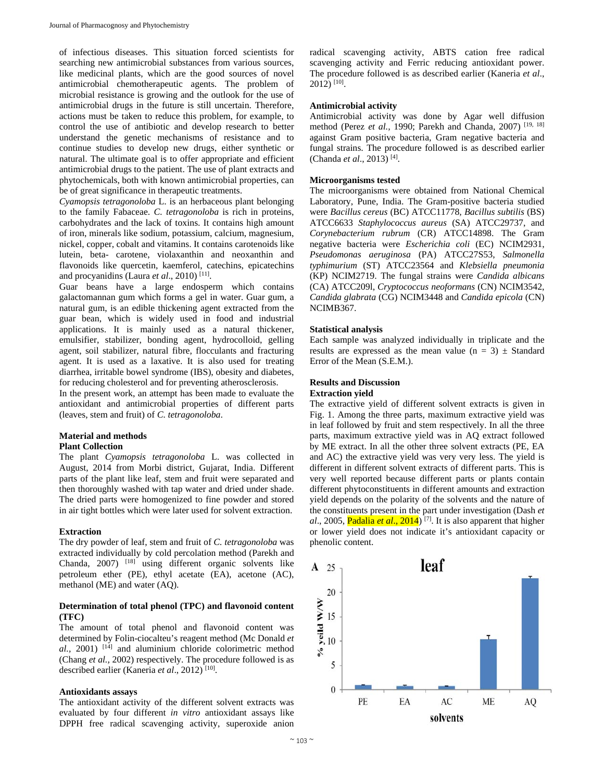of infectious diseases. This situation forced scientists for searching new antimicrobial substances from various sources, like medicinal plants, which are the good sources of novel antimicrobial chemotherapeutic agents. The problem of microbial resistance is growing and the outlook for the use of antimicrobial drugs in the future is still uncertain. Therefore, actions must be taken to reduce this problem, for example, to control the use of antibiotic and develop research to better understand the genetic mechanisms of resistance and to continue studies to develop new drugs, either synthetic or natural. The ultimate goal is to offer appropriate and efficient antimicrobial drugs to the patient. The use of plant extracts and phytochemicals, both with known antimicrobial properties, can be of great significance in therapeutic treatments.

*Cyamopsis tetragonoloba* L. is an herbaceous plant belonging to the family Fabaceae. *C. tetragonoloba* is rich in proteins, carbohydrates and the lack of toxins. It contains high amount of iron, minerals like sodium, potassium, calcium, magnesium, nickel, copper, cobalt and vitamins. It contains carotenoids like lutein, beta- carotene, violaxanthin and neoxanthin and flavonoids like quercetin, kaemferol, catechins, epicatechins and procyanidins (Laura *et al*., 2010) [11].

Guar beans have a large endosperm which contains galactomannan gum which forms a gel in water. Guar gum, a natural gum, is an edible thickening agent extracted from the guar bean, which is widely used in food and industrial applications. It is mainly used as a natural thickener, emulsifier, stabilizer, bonding agent, hydrocolloid, gelling agent, soil stabilizer, natural fibre, flocculants and fracturing agent. It is used as a laxative. It is also used for treating diarrhea, irritable bowel syndrome (IBS), obesity and diabetes, for reducing cholesterol and for preventing atherosclerosis.

In the present work, an attempt has been made to evaluate the antioxidant and antimicrobial properties of different parts (leaves, stem and fruit) of *C. tetragonoloba*.

# **Material and methods**

# **Plant Collection**

The plant *Cyamopsis tetragonoloba* L. was collected in August, 2014 from Morbi district, Gujarat, India. Different parts of the plant like leaf, stem and fruit were separated and then thoroughly washed with tap water and dried under shade. The dried parts were homogenized to fine powder and stored in air tight bottles which were later used for solvent extraction.

#### **Extraction**

The dry powder of leaf, stem and fruit of *C. tetragonoloba* was extracted individually by cold percolation method (Parekh and Chanda, 2007) [18] using different organic solvents like petroleum ether (PE), ethyl acetate (EA), acetone (AC), methanol (ME) and water (AQ).

### **Determination of total phenol (TPC) and flavonoid content (TFC)**

The amount of total phenol and flavonoid content was determined by Folin-ciocalteu's reagent method (Mc Donald *et al.,* 2001) [14] and aluminium chloride colorimetric method (Chang *et al.,* 2002) respectively. The procedure followed is as described earlier (Kaneria *et al*., 2012) [10].

#### **Antioxidants assays**

The antioxidant activity of the different solvent extracts was evaluated by four different *in vitro* antioxidant assays like DPPH free radical scavenging activity, superoxide anion

radical scavenging activity, ABTS cation free radical scavenging activity and Ferric reducing antioxidant power. The procedure followed is as described earlier (Kaneria *et al*., 2012) [10].

#### **Antimicrobial activity**

Antimicrobial activity was done by Agar well diffusion method (Perez *et al.,* 1990; Parekh and Chanda, 2007) [19, 18] against Gram positive bacteria, Gram negative bacteria and fungal strains. The procedure followed is as described earlier (Chanda *et al*., 2013) [4].

#### **Microorganisms tested**

The microorganisms were obtained from National Chemical Laboratory, Pune, India. The Gram-positive bacteria studied were *Bacillus cereus* (BC) ATCC11778*, Bacillus subtilis* (BS) ATCC6633 *Staphylococcus aureus* (SA) ATCC29737, and *Corynebacterium rubrum* (CR) ATCC14898. The Gram negative bacteria were *Escherichia coli* (EC) NCIM2931, *Pseudomonas aeruginosa* (PA) ATCC27S53, *Salmonella typhimurium* (ST) ATCC23564 and *Klebsiella pneumonia* (KP) NCIM2719. The fungal strains were *Candida albicans* (CA) ATCC209l, *Cryptococcus neoformans* (CN) NCIM3542, *Candida glabrata* (CG) NCIM3448 and *Candida epicola* (CN) NCIMB367.

#### **Statistical analysis**

Each sample was analyzed individually in triplicate and the results are expressed as the mean value  $(n = 3) \pm$  Standard Error of the Mean (S.E.M.).

# **Results and Discussion**

#### **Extraction yield**

The extractive yield of different solvent extracts is given in Fig. 1. Among the three parts, maximum extractive yield was in leaf followed by fruit and stem respectively. In all the three parts, maximum extractive yield was in AQ extract followed by ME extract. In all the other three solvent extracts (PE, EA and AC) the extractive yield was very very less. The yield is different in different solvent extracts of different parts. This is very well reported because different parts or plants contain different phytoconstituents in different amounts and extraction yield depends on the polarity of the solvents and the nature of the constituents present in the part under investigation (Dash *et al*., 2005, Padalia *et al*., 2014) [7]. It is also apparent that higher or lower yield does not indicate it's antioxidant capacity or phenolic content.

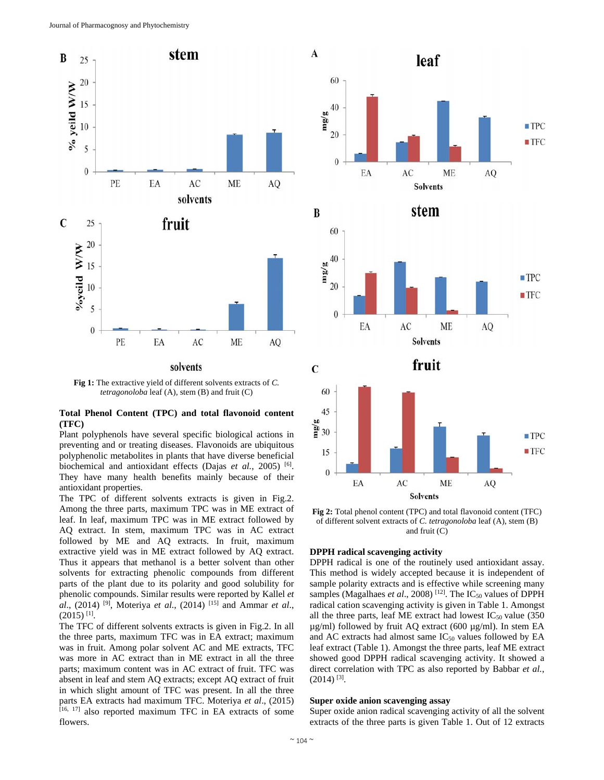

**Fig 1:** The extractive yield of different solvents extracts of *C. tetragonoloba* leaf (A), stem (B) and fruit (C)

### **Total Phenol Content (TPC) and total flavonoid content (TFC)**

Plant polyphenols have several specific biological actions in preventing and or treating diseases. Flavonoids are ubiquitous polyphenolic metabolites in plants that have diverse beneficial biochemical and antioxidant effects (Dajas et al., 2005)<sup>[6]</sup>. They have many health benefits mainly because of their antioxidant properties.

The TPC of different solvents extracts is given in Fig.2. Among the three parts, maximum TPC was in ME extract of leaf. In leaf, maximum TPC was in ME extract followed by AQ extract. In stem, maximum TPC was in AC extract followed by ME and AQ extracts. In fruit, maximum extractive yield was in ME extract followed by AQ extract. Thus it appears that methanol is a better solvent than other solvents for extracting phenolic compounds from different parts of the plant due to its polarity and good solubility for phenolic compounds. Similar results were reported by Kallel *et al*., (2014) [9], Moteriya *et al.*, (2014) [15] and Ammar *et al*.,  $(2015)$ <sup>[1]</sup>.

The TFC of different solvents extracts is given in Fig.2. In all the three parts, maximum TFC was in EA extract; maximum was in fruit. Among polar solvent AC and ME extracts, TFC was more in AC extract than in ME extract in all the three parts; maximum content was in AC extract of fruit. TFC was absent in leaf and stem AQ extracts; except AQ extract of fruit in which slight amount of TFC was present. In all the three parts EA extracts had maximum TFC. Moteriya *et al*., (2015) [16, 17] also reported maximum TFC in EA extracts of some flowers.



**Fig 2:** Total phenol content (TPC) and total flavonoid content (TFC) of different solvent extracts of *C. tetragonoloba* leaf (A), stem (B) and fruit (C)

#### **DPPH radical scavenging activity**

DPPH radical is one of the routinely used antioxidant assay. This method is widely accepted because it is independent of sample polarity extracts and is effective while screening many samples (Magalhaes et al., 2008)<sup>[12]</sup>. The IC<sub>50</sub> values of DPPH radical cation scavenging activity is given in Table 1. Amongst all the three parts, leaf ME extract had lowest  $IC_{50}$  value (350)  $\mu$ g/ml) followed by fruit AQ extract (600  $\mu$ g/ml). In stem EA and AC extracts had almost same  $IC_{50}$  values followed by EA leaf extract (Table 1). Amongst the three parts, leaf ME extract showed good DPPH radical scavenging activity. It showed a direct correlation with TPC as also reported by Babbar *et al.*,  $(2014)$ <sup>[3]</sup>.

#### **Super oxide anion scavenging assay**

Super oxide anion radical scavenging activity of all the solvent extracts of the three parts is given Table 1. Out of 12 extracts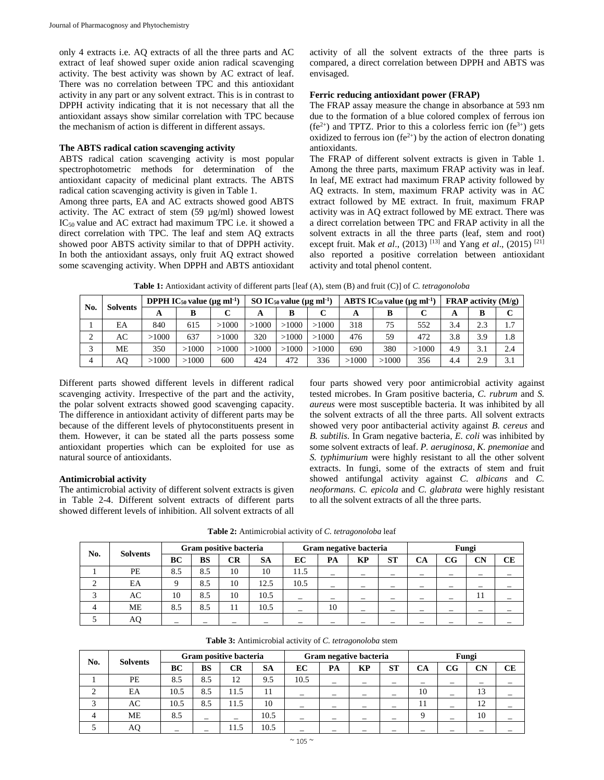only 4 extracts i.e. AQ extracts of all the three parts and AC extract of leaf showed super oxide anion radical scavenging activity. The best activity was shown by AC extract of leaf. There was no correlation between TPC and this antioxidant activity in any part or any solvent extract. This is in contrast to DPPH activity indicating that it is not necessary that all the antioxidant assays show similar correlation with TPC because the mechanism of action is different in different assays.

#### **The ABTS radical cation scavenging activity**

ABTS radical cation scavenging activity is most popular spectrophotometric methods for determination of the antioxidant capacity of medicinal plant extracts. The ABTS radical cation scavenging activity is given in Table 1.

Among three parts, EA and AC extracts showed good ABTS activity. The AC extract of stem (59 µg/ml) showed lowest IC50 value and AC extract had maximum TPC i.e. it showed a direct correlation with TPC. The leaf and stem AQ extracts showed poor ABTS activity similar to that of DPPH activity. In both the antioxidant assays, only fruit AQ extract showed some scavenging activity. When DPPH and ABTS antioxidant

activity of all the solvent extracts of the three parts is compared, a direct correlation between DPPH and ABTS was envisaged.

#### **Ferric reducing antioxidant power (FRAP)**

The FRAP assay measure the change in absorbance at 593 nm due to the formation of a blue colored complex of ferrous ion  $(fe^{2+})$  and TPTZ. Prior to this a colorless ferric ion  $(fe^{3+})$  gets oxidized to ferrous ion (fe<sup>2+</sup>) by the action of electron donating antioxidants.

The FRAP of different solvent extracts is given in Table 1. Among the three parts, maximum FRAP activity was in leaf. In leaf, ME extract had maximum FRAP activity followed by AQ extracts. In stem, maximum FRAP activity was in AC extract followed by ME extract. In fruit, maximum FRAP activity was in AQ extract followed by ME extract. There was a direct correlation between TPC and FRAP activity in all the solvent extracts in all the three parts (leaf, stem and root) except fruit. Mak *et al.*, (2013) <sup>[13]</sup> and Yang *et al.*, (2015) <sup>[21]</sup> also reported a positive correlation between antioxidant activity and total phenol content.

**Table 1:** Antioxidant activity of different parts [leaf (A), stem (B) and fruit (C)] of *C. tetragonoloba*

| No. | <b>Solvents</b> |       | <b>DPPH IC<sub>50</sub></b> value ( $\mu$ g ml <sup>-1</sup> ) |       |       | SO $IC_{50}$ value ( $\mu$ g ml <sup>-1</sup> ) |       |       | ABTS IC <sub>50</sub> value ( $\mu$ g ml <sup>-1</sup> ) |       | <b>FRAP</b> activity $(M/g)$ |                                    |     |
|-----|-----------------|-------|----------------------------------------------------------------|-------|-------|-------------------------------------------------|-------|-------|----------------------------------------------------------|-------|------------------------------|------------------------------------|-----|
|     |                 |       |                                                                |       | A     | в                                               |       | A     | B                                                        |       |                              | C<br>В<br>2.3<br>1.7<br>3.9<br>1.8 |     |
|     | EA              | 840   | 615                                                            | >1000 | >1000 | >1000                                           | >1000 | 318   | 75                                                       | 552   | 3.4                          |                                    |     |
|     | AC              | >1000 | 637                                                            | >1000 | 320   | >1000                                           | >1000 | 476   | 59                                                       | 472   | 3.8                          |                                    |     |
|     | МE              | 350   | >1000                                                          | >1000 | >1000 | >1000                                           | >1000 | 690   | 380                                                      | >1000 | 4.9                          | 3.1                                | 2.4 |
| 4   | AO.             | >1000 | >1000                                                          | 600   | 424   | 472                                             | 336   | >1000 | >1000                                                    | 356   | 4.4                          | 2.9                                | 3.1 |

Different parts showed different levels in different radical scavenging activity. Irrespective of the part and the activity, the polar solvent extracts showed good scavenging capacity. The difference in antioxidant activity of different parts may be because of the different levels of phytoconstituents present in them. However, it can be stated all the parts possess some antioxidant properties which can be exploited for use as natural source of antioxidants.

#### **Antimicrobial activity**

The antimicrobial activity of different solvent extracts is given in Table 2-4. Different solvent extracts of different parts showed different levels of inhibition. All solvent extracts of all

four parts showed very poor antimicrobial activity against tested microbes. In Gram positive bacteria, *C. rubrum* and *S. aureus* were most susceptible bacteria. It was inhibited by all the solvent extracts of all the three parts. All solvent extracts showed very poor antibacterial activity against *B. cereus* and *B. subtilis*. In Gram negative bacteria, *E. coli* was inhibited by some solvent extracts of leaf. *P. aeruginosa, K. pnemoniae* and *S. typhimurium* were highly resistant to all the other solvent extracts. In fungi, some of the extracts of stem and fruit showed antifungal activity against *C. albicans* and *C. neoformans. C. epicola* and *C. glabrata* were highly resistant to all the solvent extracts of all the three parts.

**Table 2:** Antimicrobial activity of *C. tetragonoloba* leaf

| No. |                 |     |           | Gram positive bacteria |           |      |                          | Gram negative bacteria |                          | Fungi |             |           |    |  |  |
|-----|-----------------|-----|-----------|------------------------|-----------|------|--------------------------|------------------------|--------------------------|-------|-------------|-----------|----|--|--|
|     | <b>Solvents</b> | ВC  | <b>BS</b> | CR                     | <b>SA</b> | EC   | PA                       | KP                     | <b>ST</b>                | CA    | $_{\rm CG}$ | <b>CN</b> | CE |  |  |
|     | PE              | 8.5 | 8.5       | 10                     | 10        | 11.5 |                          | -                      |                          |       |             |           |    |  |  |
| ∼   | EA              | Q   | 8.5       | 10                     | 12.5      | 10.5 |                          | -                      | $\overline{\phantom{m}}$ | -     |             | -         |    |  |  |
|     | AC              | 10  | 8.5       | 10                     | 10.5      |      | $\overline{\phantom{m}}$ |                        | $\overline{\phantom{m}}$ |       |             | 11        |    |  |  |
|     | МE              | 8.5 | 8.5       | 11                     | 10.5      |      | 10                       |                        | $\overline{\phantom{a}}$ |       |             |           |    |  |  |
|     |                 |     |           |                        |           |      |                          |                        |                          |       |             |           |    |  |  |

|  |  | <b>Table 3:</b> Antimicrobial activity of C. tetragonoloba stem |
|--|--|-----------------------------------------------------------------|
|  |  |                                                                 |

| No. | <b>Solvents</b> |      |     | Gram positive bacteria |           |                          |                          | Gram negative bacteria |                          | Fungi |                                                        |    |  |  |  |
|-----|-----------------|------|-----|------------------------|-----------|--------------------------|--------------------------|------------------------|--------------------------|-------|--------------------------------------------------------|----|--|--|--|
|     |                 | BC   | BS  | CR                     | <b>SA</b> | EС                       | PA                       | KP                     | <b>ST</b>                | CА    | CN<br>CG<br>13<br>12<br>10<br>$\overline{\phantom{a}}$ | CЕ |  |  |  |
|     | PE              | 8.5  | 8.5 | 12                     | 9.5       | 10.5                     | $\overline{\phantom{a}}$ |                        | $\overline{\phantom{a}}$ |       |                                                        |    |  |  |  |
| ∠   | EA              | 10.5 | 8.5 | 11.5                   |           | $\overline{\phantom{0}}$ |                          |                        |                          | 10    |                                                        |    |  |  |  |
|     | AC              | 10.5 | 8.5 | 11.5                   | 10        |                          |                          |                        | $\overline{\phantom{a}}$ |       |                                                        |    |  |  |  |
| 4   | <b>ME</b>       | 8.5  | -   |                        | 10.5      | -                        |                          |                        | $\overline{\phantom{a}}$ |       |                                                        |    |  |  |  |
|     | AC              |      |     | 11.5                   | 10.5      |                          |                          |                        |                          |       |                                                        |    |  |  |  |